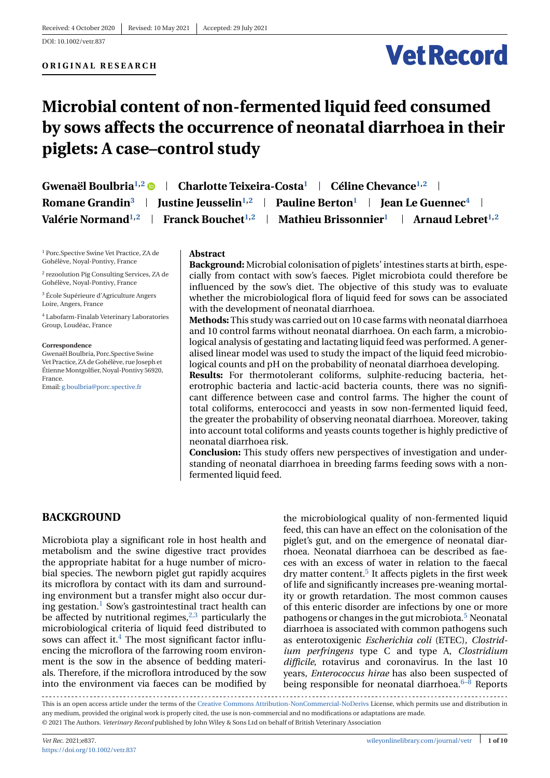# **Vet Record**

# **Microbial content of non-fermented liquid feed consumed by sows affects the occurrence of neonatal diarrhoea in their piglets: A case–control study**

| <b>Gwenaël Boulbria<sup>1,2</sup> ®</b><br><b>Charlotte Teixeira-Costa<sup>1</sup>   Céline Chevance</b> <sup>1,2</sup>           |
|-----------------------------------------------------------------------------------------------------------------------------------|
| Romane Grandin <sup>3</sup>   Justine Jeusselin <sup>1,2</sup>   Pauline Berton <sup>1</sup>   Jean Le Guennec <sup>4</sup>       |
| Mathieu Brissonnier <sup>1</sup>   Arnaud Lebret <sup>1,2</sup><br>Valérie Normand <sup>1,2</sup>   Franck Bouchet <sup>1,2</sup> |

<sup>1</sup> Porc.Spective Swine Vet Practice, ZA de Gohélève, Noyal-Pontivy, France

<sup>2</sup> rezoolution Pig Consulting Services, ZA de Gohélève, Noyal-Pontivy, France

<sup>3</sup> École Supérieure d'Agriculture Angers Loire, Angers, France

<sup>4</sup> Labofarm-Finalab Veterinary Laboratories Group, Loudéac, France

#### **Correspondence**

Gwenaël Boulbria, Porc.Spective Swine Vet Practice, ZA de Gohélève, rue Joseph et Étienne Montgolfier, Noyal-Pontivy 56920, France.

Email: [g.boulbria@porc.spective.fr](mailto:g.boulbria@porc.spective.fr)

#### **Abstract**

**Background:** Microbial colonisation of piglets' intestines starts at birth, especially from contact with sow's faeces. Piglet microbiota could therefore be influenced by the sow's diet. The objective of this study was to evaluate whether the microbiological flora of liquid feed for sows can be associated with the development of neonatal diarrhoea.

**Methods:** This study was carried out on 10 case farms with neonatal diarrhoea and 10 control farms without neonatal diarrhoea. On each farm, a microbiological analysis of gestating and lactating liquid feed was performed. A generalised linear model was used to study the impact of the liquid feed microbiological counts and pH on the probability of neonatal diarrhoea developing.

**Results:** For thermotolerant coliforms, sulphite-reducing bacteria, heterotrophic bacteria and lactic-acid bacteria counts, there was no significant difference between case and control farms. The higher the count of total coliforms, enterococci and yeasts in sow non-fermented liquid feed, the greater the probability of observing neonatal diarrhoea. Moreover, taking into account total coliforms and yeasts counts together is highly predictive of neonatal diarrhoea risk.

**Conclusion:** This study offers new perspectives of investigation and understanding of neonatal diarrhoea in breeding farms feeding sows with a nonfermented liquid feed.

# **BACKGROUND**

Microbiota play a significant role in host health and metabolism and the swine digestive tract provides the appropriate habitat for a huge number of microbial species. The newborn piglet gut rapidly acquires its microflora by contact with its dam and surrounding environment but a transfer might also occur during gestation. $<sup>1</sup>$  Sow's gastrointestinal tract health can</sup> be affected by nutritional regimes,  $2,3$  particularly the microbiological criteria of liquid feed distributed to sows can affect it. $4$  The most significant factor influencing the microflora of the farrowing room environment is the sow in the absence of bedding materials. Therefore, if the microflora introduced by the sow into the environment via faeces can be modified by the microbiological quality of non-fermented liquid feed, this can have an effect on the colonisation of the piglet's gut, and on the emergence of neonatal diarrhoea. Neonatal diarrhoea can be described as faeces with an excess of water in relation to the faecal  $\text{dry matter content.}^5$  It affects piglets in the first week of life and significantly increases pre-weaning mortality or growth retardation. The most common causes of this enteric disorder are infections by one or more pathogens or changes in the gut microbiota[.5](#page-8-0) Neonatal diarrhoea is associated with common pathogens such as enterotoxigenic *Escherichia coli* (ETEC), *Clostridium perfringens* type C and type A, *Clostridium difficile*, rotavirus and coronavirus. In the last 10 years, *Enterococcus hirae* has also been suspected of being responsible for neonatal diarrhoea. $6-8$  Reports

This is an open access article under the terms of the [Creative Commons Attribution-NonCommercial-NoDerivs](http://creativecommons.org/licenses/by-nc-nd/4.0/) License, which permits use and distribution in any medium, provided the original work is properly cited, the use is non-commercial and no modifications or adaptations are made. © 2021 The Authors. *Veterinary Record* published by John Wiley & Sons Ltd on behalf of British Veterinary Association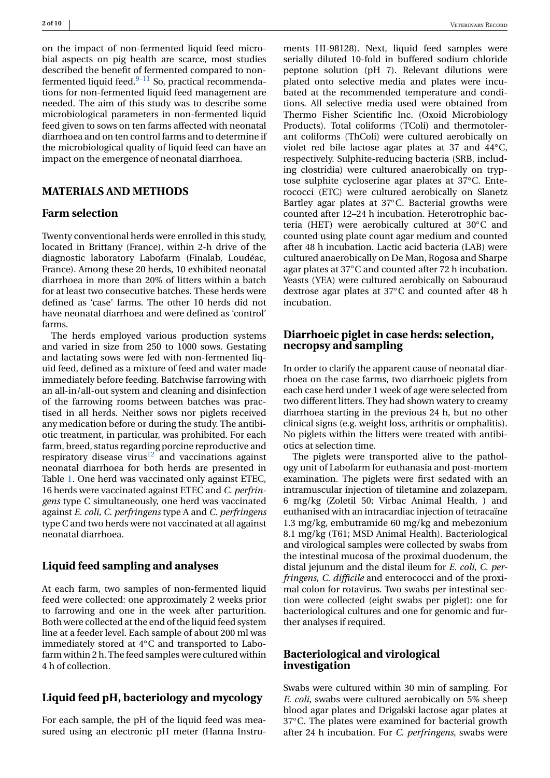on the impact of non-fermented liquid feed microbial aspects on pig health are scarce, most studies described the benefit of fermented compared to nonfermented liquid feed. $9-11$  So, practical recommendations for non-fermented liquid feed management are needed. The aim of this study was to describe some microbiological parameters in non-fermented liquid feed given to sows on ten farms affected with neonatal diarrhoea and on ten control farms and to determine if the microbiological quality of liquid feed can have an impact on the emergence of neonatal diarrhoea.

#### **MATERIALS AND METHODS**

### **Farm selection**

Twenty conventional herds were enrolled in this study, located in Brittany (France), within 2-h drive of the diagnostic laboratory Labofarm (Finalab, Loudéac, France). Among these 20 herds, 10 exhibited neonatal diarrhoea in more than 20% of litters within a batch for at least two consecutive batches. These herds were defined as 'case' farms. The other 10 herds did not have neonatal diarrhoea and were defined as 'control' farms.

The herds employed various production systems and varied in size from 250 to 1000 sows. Gestating and lactating sows were fed with non-fermented liquid feed, defined as a mixture of feed and water made immediately before feeding. Batchwise farrowing with an all-in/all-out system and cleaning and disinfection of the farrowing rooms between batches was practised in all herds. Neither sows nor piglets received any medication before or during the study. The antibiotic treatment, in particular, was prohibited. For each farm, breed, status regarding porcine reproductive and respiratory disease virus $12$  and vaccinations against neonatal diarrhoea for both herds are presented in Table [1.](#page-2-0) One herd was vaccinated only against ETEC, 16 herds were vaccinated against ETEC and *C. perfringens* type C simultaneously, one herd was vaccinated against *E. coli*, *C. perfringens* type A and *C. perfringens* type C and two herds were not vaccinated at all against neonatal diarrhoea.

# **Liquid feed sampling and analyses**

At each farm, two samples of non-fermented liquid feed were collected: one approximately 2 weeks prior to farrowing and one in the week after parturition. Both were collected at the end of the liquid feed system line at a feeder level. Each sample of about 200 ml was immediately stored at 4◦C and transported to Labofarm within 2 h. The feed samples were cultured within 4 h of collection.

#### **Liquid feed pH, bacteriology and mycology**

For each sample, the pH of the liquid feed was measured using an electronic pH meter (Hanna Instruments HI-98128). Next, liquid feed samples were serially diluted 10-fold in buffered sodium chloride peptone solution (pH 7). Relevant dilutions were plated onto selective media and plates were incubated at the recommended temperature and conditions. All selective media used were obtained from Thermo Fisher Scientific Inc. (Oxoid Microbiology Products). Total coliforms (TColi) and thermotolerant coliforms (ThColi) were cultured aerobically on violet red bile lactose agar plates at 37 and 44◦C, respectively. Sulphite-reducing bacteria (SRB, including clostridia) were cultured anaerobically on tryptose sulphite cycloserine agar plates at 37◦C. Enterococci (ETC) were cultured aerobically on Slanetz Bartley agar plates at 37◦C. Bacterial growths were counted after 12–24 h incubation. Heterotrophic bacteria (HET) were aerobically cultured at 30◦C and counted using plate count agar medium and counted after 48 h incubation. Lactic acid bacteria (LAB) were cultured anaerobically on De Man, Rogosa and Sharpe agar plates at 37◦C and counted after 72 h incubation. Yeasts (YEA) were cultured aerobically on Sabouraud dextrose agar plates at 37◦C and counted after 48 h incubation.

# **Diarrhoeic piglet in case herds: selection, necropsy and sampling**

In order to clarify the apparent cause of neonatal diarrhoea on the case farms, two diarrhoeic piglets from each case herd under 1 week of age were selected from two different litters. They had shown watery to creamy diarrhoea starting in the previous 24 h, but no other clinical signs (e.g. weight loss, arthritis or omphalitis). No piglets within the litters were treated with antibiotics at selection time.

The piglets were transported alive to the pathology unit of Labofarm for euthanasia and post-mortem examination. The piglets were first sedated with an intramuscular injection of tiletamine and zolazepam, 6 mg/kg (Zoletil 50; Virbac Animal Health, ) and euthanised with an intracardiac injection of tetracaïne 1.3 mg/kg, embutramide 60 mg/kg and mebezonium 8.1 mg/kg (T61; MSD Animal Health). Bacteriological and virological samples were collected by swabs from the intestinal mucosa of the proximal duodenum, the distal jejunum and the distal ileum for *E. coli*, *C. perfringens*, *C. difficile* and enterococci and of the proximal colon for rotavirus. Two swabs per intestinal section were collected (eight swabs per piglet): one for bacteriological cultures and one for genomic and further analyses if required.

## **Bacteriological and virological investigation**

Swabs were cultured within 30 min of sampling. For *E. coli*, swabs were cultured aerobically on 5% sheep blood agar plates and Drigalski lactose agar plates at 37◦C. The plates were examined for bacterial growth after 24 h incubation. For *C. perfringens*, swabs were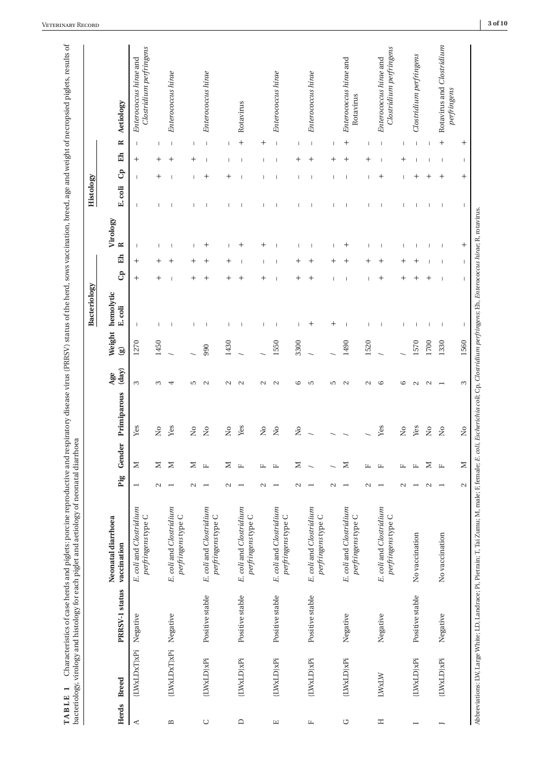<span id="page-2-0"></span>

|                                        |                            |                 |                                                  |                          |                          |                                                                  |              |                        | Bacteriology             |                          |                             |                          | Histology               |                          |                          |                                                   |
|----------------------------------------|----------------------------|-----------------|--------------------------------------------------|--------------------------|--------------------------|------------------------------------------------------------------|--------------|------------------------|--------------------------|--------------------------|-----------------------------|--------------------------|-------------------------|--------------------------|--------------------------|---------------------------------------------------|
| Herds                                  | <b>Breed</b>               | PRRSV-1 status  | Neonatal diarrhoea<br>vaccination                | Pig                      | Gender                   | Primiparous                                                      | (day)<br>Age | Weight<br>$\mathbf{B}$ | hemolytic<br>E. coli     | G                        | Virology<br>$\approx$<br>Eh |                          | $\mathbf{G}$<br>E. coli | E <sub>1</sub>           | $\approx$                | Aetiology                                         |
| Ą                                      | [LWxLDxT}xPi               | Negative        | E. coli and Clostridium<br>perfringens type C    | $\overline{\phantom{0}}$ | $\geq$                   | Yes                                                              | 3            | 1270                   |                          | $\,+\,$                  | т<br>$\,{}^+$               |                          |                         | $\,{}^+$                 | -1                       | Clostridium perfringens<br>Enterococcus hirae and |
|                                        |                            |                 |                                                  | $\sim$                   | $\geq$                   | $\tilde{\mathsf{X}}$                                             | S            | 1450                   |                          | $^+$                     | $\,{}^+$                    |                          | $\,^+$                  | $^+$                     | I                        |                                                   |
| $\mathbf{m}$                           | $[{\rm LWALDxT}]{\bf xPi}$ | Negative        | E. coli and Clostridium<br>perfringens type C    | $\overline{ }$           | $\geq$                   | Yes                                                              | 4            |                        |                          | I                        |                             |                          |                         | $\,{}^+$                 | T                        | Enterococcus hirae                                |
|                                        |                            |                 |                                                  | $\sim$                   | $\geq$                   | $\tilde{\mathsf{X}}$                                             | S            |                        |                          | $\,{}^+$                 | I                           |                          |                         | $\,{}^+$                 | I                        |                                                   |
| $\cup$                                 | [LWxLD]xPi                 | Positive stable | E. coli and Clostridium<br>perfringens type C    | $\overline{\phantom{0}}$ | $\mathbf{L}$             | $\rm \stackrel{\circ}{\simeq}$                                   | $\sim$       | 990                    | $\overline{\phantom{a}}$ | $^+$                     | $\,{}^+$                    | Ť                        | $^+$                    | п                        | $\overline{\phantom{a}}$ | Enterococcus hirae                                |
|                                        |                            |                 |                                                  | $\sim$                   | Σ                        | $\tilde{z}$                                                      | $\sim$       | 1430                   |                          | $\,+\,$                  | 1<br>$\,{}^+$               |                          | $^+$                    | I                        | I                        |                                                   |
| $\Box$                                 | {IWxLD}xPi                 | Positive stable | E. coli and Clostridium<br>perfringens type C    | $\overline{ }$           | $\mathbb{L}$             | Yes                                                              | $\mathbf{c}$ |                        |                          |                          |                             | $\mathbf{I}$             |                         |                          | $^{+}$                   | Rotavirus                                         |
|                                        |                            |                 |                                                  | $\sim$                   | 山                        | $\tilde{z}$                                                      | $\mathbf{C}$ |                        |                          | $\,{}^+$                 | $\,{}^+$                    |                          |                         |                          | $\ddot{}$                |                                                   |
| $\begin{array}{c} \square \end{array}$ | {LWxLD}xPi                 | Positive stable | E. coli and Clostridium<br>◡<br>perfringens type | $\overline{\phantom{0}}$ | $\mathbb{L}$             | $\tilde{z}$                                                      | $\mathbf{c}$ | 1550                   |                          |                          |                             | п                        |                         | Т                        | $\overline{\phantom{a}}$ | Enterococcus hirae                                |
|                                        |                            |                 |                                                  | $\sim$                   | Σ                        | $\stackrel{\circ}{\phantom{}_{\sim}}$                            | G            | 3300                   |                          |                          |                             |                          |                         | $\,{}^+$                 |                          |                                                   |
| 圧                                      | {LWxLD}xPi                 | Positive stable | E. coli and Clostridium<br>perfringens type C    | $\overline{\phantom{a}}$ | $\overline{\phantom{0}}$ |                                                                  | S            |                        | $^+$                     | $\,{}^+$                 | I                           | I                        | I                       | $^+$                     | $\overline{\phantom{a}}$ | Enterococcus hirae                                |
|                                        |                            |                 |                                                  | $\mathbf{c}$             |                          |                                                                  | Ю            |                        | $^+$                     | $\overline{\phantom{a}}$ | 1                           |                          |                         | $\,{}^+$                 | I                        |                                                   |
| G                                      | {LWxLD}xPi                 | Negative        | E. coli and Clostridium<br>perfringens type C    | $\overline{ }$           | $\geq$                   |                                                                  | $\sim$       | 1490                   | $\mathbf{I}$             | <b>I</b>                 | $\,^+$                      | П                        |                         | $\,{}^+$                 | $^+$                     | Enterococcus hirae and<br>Rotavirus               |
|                                        |                            |                 |                                                  | $\sim$                   | 山                        |                                                                  | $\sim$       | 1520                   |                          | J.                       | $\mathbf{I}$<br>$\,{}^+$    |                          |                         | $\,^+$                   | $\overline{\phantom{a}}$ |                                                   |
| Ξ                                      | <b>IWXLW</b>               | Negative        | E. coli and Clostridium<br>perfringens type C    | $\overline{\phantom{0}}$ | д                        | Yes                                                              | G            |                        |                          | $\,{}^+$                 |                             |                          | $\,{}^+$                | I                        | T                        | Clostridium perfringens<br>Enterococcus hirae and |
|                                        |                            |                 |                                                  | $\sim$                   | 凸                        | $\stackrel{\circ}{\phantom{}_{\sim}}$                            | 9            |                        | I                        | $\,{}^{+}\,$             | I                           | I                        |                         | $\,{}^+$                 | I                        |                                                   |
|                                        | [LWxLD]xPi                 | Positive stable | No vaccination                                   |                          | $\mathbf{L}$             | Yes                                                              | $\sim$       | 1570                   | I                        | $^+$                     |                             |                          | $^+$                    |                          | $\overline{\phantom{a}}$ | Clostridium perfringens                           |
|                                        |                            |                 |                                                  | $\mathbf{\Omega}$        | Σ                        | $\rm \stackrel{\circ}{\rm \stackrel{\circ}{\rm \scriptstyle X}}$ |              | 1700                   | $\overline{\phantom{a}}$ | $\,{}^+$                 |                             |                          | $\,{}^+$                |                          |                          |                                                   |
|                                        | {LWxLD}xPi                 | Negative        | No vaccination                                   | $\overline{\phantom{0}}$ | $\mathbb{L}$             | $\overline{\mathsf{S}}$                                          |              | 1330                   | $\overline{\phantom{a}}$ | $\overline{\phantom{a}}$ | $\overline{\phantom{a}}$    | $\overline{\phantom{a}}$ | $\,{}^+$                | $\overline{\phantom{a}}$ | $^{+}$                   | Rotavirus and Clostridium<br>perfringens          |
|                                        |                            |                 |                                                  | $\mathbf{\Omega}$        | $\geq$                   | $\tilde{\mathbf{z}}$                                             | 3            | 1560                   | П                        |                          | $^{+}$                      |                          | $^{+}$                  | 1                        | $^{+}$                   |                                                   |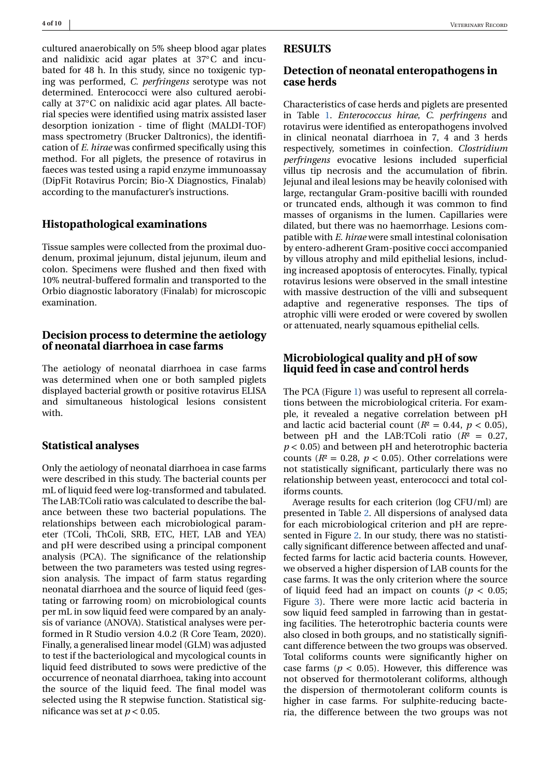cultured anaerobically on 5% sheep blood agar plates and nalidixic acid agar plates at 37◦C and incubated for 48 h. In this study, since no toxigenic typing was performed, *C. perfringens* serotype was not determined. Enterococci were also cultured aerobically at 37◦C on nalidixic acid agar plates. All bacterial species were identified using matrix assisted laser desorption ionization - time of flight (MALDI-TOF) mass spectrometry (Brucker Daltronics), the identification of *E. hirae* was confirmed specifically using this method. For all piglets, the presence of rotavirus in faeces was tested using a rapid enzyme immunoassay (DipFit Rotavirus Porcin; Bio-X Diagnostics, Finalab) according to the manufacturer's instructions.

#### **Histopathological examinations**

Tissue samples were collected from the proximal duodenum, proximal jejunum, distal jejunum, ileum and colon. Specimens were flushed and then fixed with 10% neutral-buffered formalin and transported to the Orbio diagnostic laboratory (Finalab) for microscopic examination.

## **Decision process to determine the aetiology of neonatal diarrhoea in case farms**

The aetiology of neonatal diarrhoea in case farms was determined when one or both sampled piglets displayed bacterial growth or positive rotavirus ELISA and simultaneous histological lesions consistent with.

#### **Statistical analyses**

Only the aetiology of neonatal diarrhoea in case farms were described in this study. The bacterial counts per mL of liquid feed were log-transformed and tabulated. The LAB:TColi ratio was calculated to describe the balance between these two bacterial populations. The relationships between each microbiological parameter (TColi, ThColi, SRB, ETC, HET, LAB and YEA) and pH were described using a principal component analysis (PCA). The significance of the relationship between the two parameters was tested using regression analysis. The impact of farm status regarding neonatal diarrhoea and the source of liquid feed (gestating or farrowing room) on microbiological counts per mL in sow liquid feed were compared by an analysis of variance (ANOVA). Statistical analyses were performed in R Studio version 4.0.2 (R Core Team, 2020). Finally, a generalised linear model (GLM) was adjusted to test if the bacteriological and mycological counts in liquid feed distributed to sows were predictive of the occurrence of neonatal diarrhoea, taking into account the source of the liquid feed. The final model was selected using the R stepwise function. Statistical significance was set at  $p < 0.05$ .

# **RESULTS**

## **Detection of neonatal enteropathogens in case herds**

Characteristics of case herds and piglets are presented in Table [1.](#page-2-0) *Enterococcus hirae*, *C. perfringens* and rotavirus were identified as enteropathogens involved in clinical neonatal diarrhoea in 7, 4 and 3 herds respectively, sometimes in coinfection. *Clostridium perfringens* evocative lesions included superficial villus tip necrosis and the accumulation of fibrin. Jejunal and ileal lesions may be heavily colonised with large, rectangular Gram-positive bacilli with rounded or truncated ends, although it was common to find masses of organisms in the lumen. Capillaries were dilated, but there was no haemorrhage. Lesions compatible with *E. hirae* were small intestinal colonisation by entero-adherent Gram-positive cocci accompanied by villous atrophy and mild epithelial lesions, including increased apoptosis of enterocytes. Finally, typical rotavirus lesions were observed in the small intestine with massive destruction of the villi and subsequent adaptive and regenerative responses. The tips of atrophic villi were eroded or were covered by swollen or attenuated, nearly squamous epithelial cells.

# **Microbiological quality and pH of sow liquid feed in case and control herds**

The PCA (Figure [1\)](#page-4-0) was useful to represent all correlations between the microbiological criteria. For example, it revealed a negative correlation between pH and lactic acid bacterial count ( $R^2 = 0.44$ ,  $p < 0.05$ ), between pH and the LAB:TColi ratio  $(R^2 = 0.27)$ , *p* < 0.05) and between pH and heterotrophic bacteria counts ( $R$ <sup>2</sup> = 0.28,  $p$  < 0.05). Other correlations were not statistically significant, particularly there was no relationship between yeast, enterococci and total coliforms counts.

Average results for each criterion (log CFU/ml) are presented in Table [2.](#page-4-0) All dispersions of analysed data for each microbiological criterion and pH are represented in Figure [2.](#page-5-0) In our study, there was no statistically significant difference between affected and unaffected farms for lactic acid bacteria counts. However, we observed a higher dispersion of LAB counts for the case farms. It was the only criterion where the source of liquid feed had an impact on counts ( $p < 0.05$ ) Figure [3\)](#page-5-0). There were more lactic acid bacteria in sow liquid feed sampled in farrowing than in gestating facilities. The heterotrophic bacteria counts were also closed in both groups, and no statistically significant difference between the two groups was observed. Total coliforms counts were significantly higher on case farms ( $p < 0.05$ ). However, this difference was not observed for thermotolerant coliforms, although the dispersion of thermotolerant coliform counts is higher in case farms. For sulphite-reducing bacteria, the difference between the two groups was not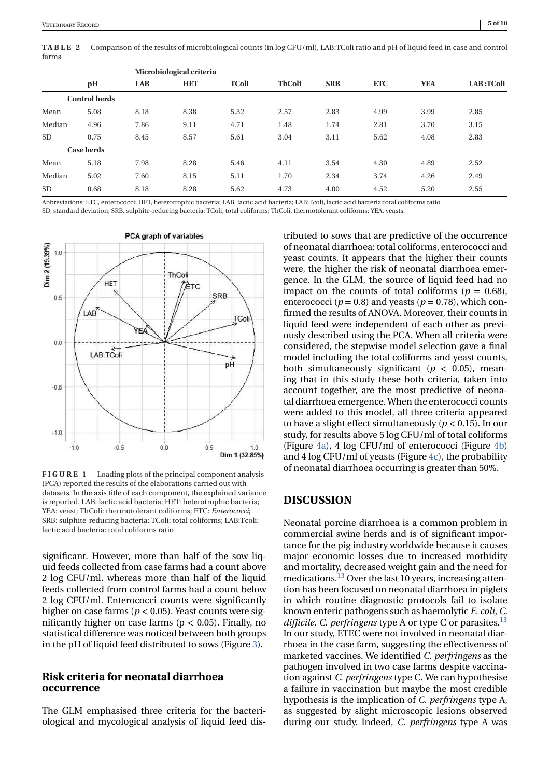<span id="page-4-0"></span>**TABLE 2** Comparison of the results of microbiological counts (in log CFU/ml), LAB:TColi ratio and pH of liquid feed in case and control farms

|           |                      |            | Microbiological criteria |              |               |            |            |            |           |
|-----------|----------------------|------------|--------------------------|--------------|---------------|------------|------------|------------|-----------|
|           | pH                   | <b>LAB</b> | <b>HET</b>               | <b>TColi</b> | <b>ThColi</b> | <b>SRB</b> | <b>ETC</b> | <b>YEA</b> | LAB:TColi |
|           | <b>Control herds</b> |            |                          |              |               |            |            |            |           |
| Mean      | 5.08                 | 8.18       | 8.38                     | 5.32         | 2.57          | 2.83       | 4.99       | 3.99       | 2.85      |
| Median    | 4.96                 | 7.86       | 9.11                     | 4.71         | 1.48          | 1.74       | 2.81       | 3.70       | 3.15      |
| <b>SD</b> | 0.75                 | 8.45       | 8.57                     | 5.61         | 3.04          | 3.11       | 5.62       | 4.08       | 2.83      |
|           | <b>Case herds</b>    |            |                          |              |               |            |            |            |           |
| Mean      | 5.18                 | 7.98       | 8.28                     | 5.46         | 4.11          | 3.54       | 4.30       | 4.89       | 2.52      |
| Median    | 5.02                 | 7.60       | 8.15                     | 5.11         | 1.70          | 2.34       | 3.74       | 4.26       | 2.49      |
| <b>SD</b> | 0.68                 | 8.18       | 8.28                     | 5.62         | 4.73          | 4.00       | 4.52       | 5.20       | 2.55      |

Abbreviations: ETC, enterococci; HET, heterotrophic bacteria; LAB, lactic acid bacteria; LAB:Tcoli, lactic acid bacteria:total coliforms ratio SD, standard deviation; SRB, sulphite-reducing bacteria; TColi, total coliforms; ThColi, thermotolerant coliforms; YEA, yeasts.



**FIGURE 1** Loading plots of the principal component analysis (PCA) reported the results of the elaborations carried out with datasets. In the axis title of each component, the explained variance is reported. LAB: lactic acid bacteria; HET: heterotrophic bacteria; YEA: yeast; ThColi: thermotolerant coliforms; ETC: *Enterococci*; SRB: sulphite-reducing bacteria; TColi: total coliforms; LAB:Tcoli: lactic acid bacteria: total coliforms ratio

significant. However, more than half of the sow liquid feeds collected from case farms had a count above 2 log CFU/ml, whereas more than half of the liquid feeds collected from control farms had a count below 2 log CFU/ml. Enterococci counts were significantly higher on case farms ( $p < 0.05$ ). Yeast counts were significantly higher on case farms ( $p < 0.05$ ). Finally, no statistical difference was noticed between both groups in the pH of liquid feed distributed to sows (Figure [3\)](#page-5-0).

# **Risk criteria for neonatal diarrhoea occurrence**

The GLM emphasised three criteria for the bacteriological and mycological analysis of liquid feed dis-

tributed to sows that are predictive of the occurrence of neonatal diarrhoea: total coliforms, enterococci and yeast counts. It appears that the higher their counts were, the higher the risk of neonatal diarrhoea emergence. In the GLM, the source of liquid feed had no impact on the counts of total coliforms ( $p = 0.68$ ), enterococci ( $p = 0.8$ ) and yeasts ( $p = 0.78$ ), which confirmed the results of ANOVA. Moreover, their counts in liquid feed were independent of each other as previously described using the PCA. When all criteria were considered, the stepwise model selection gave a final model including the total coliforms and yeast counts, both simultaneously significant ( $p < 0.05$ ), meaning that in this study these both criteria, taken into account together, are the most predictive of neonatal diarrhoea emergence. When the enterococci counts were added to this model, all three criteria appeared to have a slight effect simultaneously ( $p < 0.15$ ). In our study, for results above 5 log CFU/ml of total coliforms (Figure [4a\)](#page-6-0), 4 log CFU/ml of enterococci (Figure [4b\)](#page-6-0) and 4 log CFU/ml of yeasts (Figure [4c\)](#page-6-0), the probability of neonatal diarrhoea occurring is greater than 50%.

# **DISCUSSION**

Neonatal porcine diarrhoea is a common problem in commercial swine herds and is of significant importance for the pig industry worldwide because it causes major economic losses due to increased morbidity and mortality, decreased weight gain and the need for medications.<sup>13</sup> Over the last 10 years, increasing attention has been focused on neonatal diarrhoea in piglets in which routine diagnostic protocols fail to isolate known enteric pathogens such as haemolytic *E. coli*, *C.* difficile, *C. perfringens* type A or type C or parasites.<sup>13</sup> In our study, ETEC were not involved in neonatal diarrhoea in the case farm, suggesting the effectiveness of marketed vaccines. We identified *C. perfringens* as the pathogen involved in two case farms despite vaccination against *C. perfringens* type C. We can hypothesise a failure in vaccination but maybe the most credible hypothesis is the implication of *C. perfringens* type A, as suggested by slight microscopic lesions observed during our study. Indeed, *C. perfringens* type A was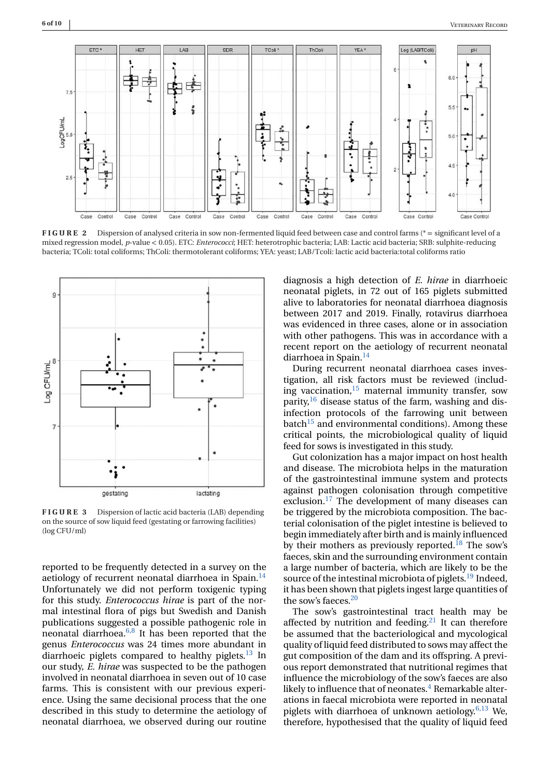<span id="page-5-0"></span>

**FIGURE 2** Dispersion of analysed criteria in sow non-fermented liquid feed between case and control farms (\* = significant level of a mixed regression model, *p*-value < 0.05). ETC: *Enterococci*; HET: heterotrophic bacteria; LAB: Lactic acid bacteria; SRB: sulphite-reducing bacteria; TColi: total coliforms; ThColi: thermotolerant coliforms; YEA: yeast; LAB/Tcoli: lactic acid bacteria:total coliforms ratio



**FIGURE 3** Dispersion of lactic acid bacteria (LAB) depending on the source of sow liquid feed (gestating or farrowing facilities) (log CFU/ml)

reported to be frequently detected in a survey on the aetiology of recurrent neonatal diarrhoea in Spain.<sup>14</sup> Unfortunately we did not perform toxigenic typing for this study. *Enterococcus hirae* is part of the normal intestinal flora of pigs but Swedish and Danish publications suggested a possible pathogenic role in neonatal diarrhoea. $6,8$  It has been reported that the genus *Enterococcus* was 24 times more abundant in diarrhoeic piglets compared to healthy piglets.<sup>13</sup> In our study, *E. hirae* was suspected to be the pathogen involved in neonatal diarrhoea in seven out of 10 case farms. This is consistent with our previous experience. Using the same decisional process that the one described in this study to determine the aetiology of neonatal diarrhoea, we observed during our routine

diagnosis a high detection of *E. hirae* in diarrhoeic neonatal piglets, in 72 out of 165 piglets submitted alive to laboratories for neonatal diarrhoea diagnosis between 2017 and 2019. Finally, rotavirus diarrhoea was evidenced in three cases, alone or in association with other pathogens. This was in accordance with a recent report on the aetiology of recurrent neonatal diarrhoea in Spain[.14](#page-8-0)

During recurrent neonatal diarrhoea cases investigation, all risk factors must be reviewed (including vaccination, $15$  maternal immunity transfer, sow parity,  $16$  disease status of the farm, washing and disinfection protocols of the farrowing unit between  $batch<sup>15</sup>$  and environmental conditions). Among these critical points, the microbiological quality of liquid feed for sows is investigated in this study.

Gut colonization has a major impact on host health and disease. The microbiota helps in the maturation of the gastrointestinal immune system and protects against pathogen colonisation through competitive exclusion.<sup>[17](#page-8-0)</sup> The development of many diseases can be triggered by the microbiota composition. The bacterial colonisation of the piglet intestine is believed to begin immediately after birth and is mainly influenced by their mothers as previously reported.<sup>18</sup> The sow's faeces, skin and the surrounding environment contain a large number of bacteria, which are likely to be the source of the intestinal microbiota of piglets.<sup>19</sup> Indeed, it has been shown that piglets ingest large quantities of the sow's faeces.<sup>20</sup>

The sow's gastrointestinal tract health may be affected by nutrition and feeding.<sup>21</sup> It can therefore be assumed that the bacteriological and mycological quality of liquid feed distributed to sows may affect the gut composition of the dam and its offspring. A previous report demonstrated that nutritional regimes that influence the microbiology of the sow's faeces are also likely to influence that of neonates. $4$  Remarkable alterations in faecal microbiota were reported in neonatal piglets with diarrhoea of unknown aetiology. $6,13$  We, therefore, hypothesised that the quality of liquid feed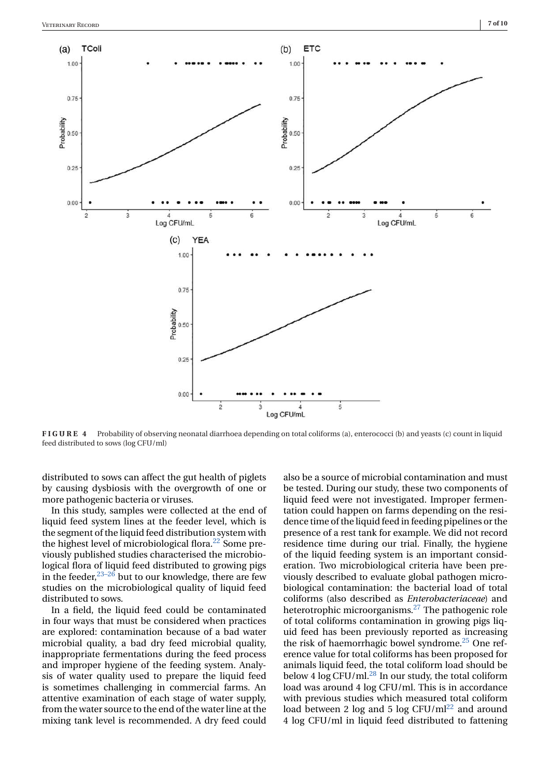<span id="page-6-0"></span>

**FIGURE 4** Probability of observing neonatal diarrhoea depending on total coliforms (a), enterococci (b) and yeasts (c) count in liquid feed distributed to sows (log CFU/ml)

distributed to sows can affect the gut health of piglets by causing dysbiosis with the overgrowth of one or more pathogenic bacteria or viruses.

In this study, samples were collected at the end of liquid feed system lines at the feeder level, which is the segment of the liquid feed distribution system with the highest level of microbiological flora.<sup>22</sup> Some previously published studies characterised the microbiological flora of liquid feed distributed to growing pigs in the feeder,  $23-26$  but to our knowledge, there are few studies on the microbiological quality of liquid feed distributed to sows.

In a field, the liquid feed could be contaminated in four ways that must be considered when practices are explored: contamination because of a bad water microbial quality, a bad dry feed microbial quality, inappropriate fermentations during the feed process and improper hygiene of the feeding system. Analysis of water quality used to prepare the liquid feed is sometimes challenging in commercial farms. An attentive examination of each stage of water supply, from the water source to the end of the water line at the mixing tank level is recommended. A dry feed could

also be a source of microbial contamination and must be tested. During our study, these two components of liquid feed were not investigated. Improper fermentation could happen on farms depending on the residence time of the liquid feed in feeding pipelines or the presence of a rest tank for example. We did not record residence time during our trial. Finally, the hygiene of the liquid feeding system is an important consideration. Two microbiological criteria have been previously described to evaluate global pathogen microbiological contamination: the bacterial load of total coliforms (also described as *Enterobacteriaceae*) and heterotrophic microorganisms[.27](#page-9-0) The pathogenic role of total coliforms contamination in growing pigs liquid feed has been previously reported as increasing the risk of haemorrhagic bowel syndrome.<sup>25</sup> One reference value for total coliforms has been proposed for animals liquid feed, the total coliform load should be below 4  $\log$  CFU/ml.<sup>28</sup> In our study, the total coliform load was around 4 log CFU/ml. This is in accordance with previous studies which measured total coliform load between 2 log and 5 log  $CFU/ml^{22}$  $CFU/ml^{22}$  $CFU/ml^{22}$  and around 4 log CFU/ml in liquid feed distributed to fattening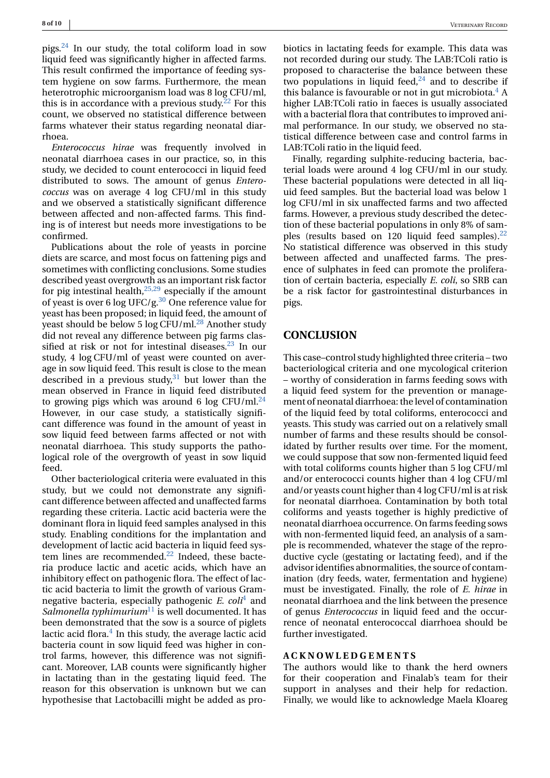pigs. $24$  In our study, the total coliform load in sow liquid feed was significantly higher in affected farms. This result confirmed the importance of feeding system hygiene on sow farms. Furthermore, the mean heterotrophic microorganism load was 8 log CFU/ml, this is in accordance with a previous study.<sup>[22](#page-8-0)</sup> For this count, we observed no statistical difference between farms whatever their status regarding neonatal diarrhoea.

*Enterococcus hirae* was frequently involved in neonatal diarrhoea cases in our practice, so, in this study, we decided to count enterococci in liquid feed distributed to sows. The amount of genus *Enterococcus* was on average 4 log CFU/ml in this study and we observed a statistically significant difference between affected and non-affected farms. This finding is of interest but needs more investigations to be confirmed.

Publications about the role of yeasts in porcine diets are scarce, and most focus on fattening pigs and sometimes with conflicting conclusions. Some studies described yeast overgrowth as an important risk factor for pig intestinal health, $25,29$  especially if the amount of yeast is over 6 log UFC/g.<sup>30</sup> One reference value for yeast has been proposed; in liquid feed, the amount of yeast should be below 5  $log CFU/ml.<sup>28</sup>$  Another study did not reveal any difference between pig farms classified at risk or not for intestinal diseases.<sup>23</sup> In our study, 4 log CFU/ml of yeast were counted on average in sow liquid feed. This result is close to the mean described in a previous study, $31$  but lower than the mean observed in France in liquid feed distributed to growing pigs which was around 6 log CFU/ml. $^{24}$ However, in our case study, a statistically significant difference was found in the amount of yeast in sow liquid feed between farms affected or not with neonatal diarrhoea. This study supports the pathological role of the overgrowth of yeast in sow liquid feed.

Other bacteriological criteria were evaluated in this study, but we could not demonstrate any significant difference between affected and unaffected farms regarding these criteria. Lactic acid bacteria were the dominant flora in liquid feed samples analysed in this study. Enabling conditions for the implantation and development of lactic acid bacteria in liquid feed system lines are recommended. $^{22}$  $^{22}$  $^{22}$  Indeed, these bacteria produce lactic and acetic acids, which have an inhibitory effect on pathogenic flora. The effect of lactic acid bacteria to limit the growth of various Gramnegative bacteria, especially pathogenic *E. coli*[4](#page-8-0) and *Salmonella typhimurium*<sup>[11](#page-8-0)</sup> is well documented. It has been demonstrated that the sow is a source of piglets lactic acid flora. $4 \text{ In this study, the average lactic acid}$ bacteria count in sow liquid feed was higher in control farms, however, this difference was not significant. Moreover, LAB counts were significantly higher in lactating than in the gestating liquid feed. The reason for this observation is unknown but we can hypothesise that Lactobacilli might be added as probiotics in lactating feeds for example. This data was not recorded during our study. The LAB:TColi ratio is proposed to characterise the balance between these two populations in liquid feed, $24$  and to describe if this balance is favourable or not in gut microbiota. $4 A$ higher LAB:TColi ratio in faeces is usually associated with a bacterial flora that contributes to improved animal performance. In our study, we observed no statistical difference between case and control farms in LAB:TColi ratio in the liquid feed.

Finally, regarding sulphite-reducing bacteria, bacterial loads were around 4 log CFU/ml in our study. These bacterial populations were detected in all liquid feed samples. But the bacterial load was below 1 log CFU/ml in six unaffected farms and two affected farms. However, a previous study described the detection of these bacterial populations in only 8% of samples (results based on 120 liquid feed samples). $^{22}$ No statistical difference was observed in this study between affected and unaffected farms. The presence of sulphates in feed can promote the proliferation of certain bacteria, especially *E. coli*, so SRB can be a risk factor for gastrointestinal disturbances in pigs.

#### **CONCLUSION**

This case–control study highlighted three criteria – two bacteriological criteria and one mycological criterion – worthy of consideration in farms feeding sows with a liquid feed system for the prevention or management of neonatal diarrhoea: the level of contamination of the liquid feed by total coliforms, enterococci and yeasts. This study was carried out on a relatively small number of farms and these results should be consolidated by further results over time. For the moment, we could suppose that sow non-fermented liquid feed with total coliforms counts higher than 5 log CFU/ml and/or enterococci counts higher than 4 log CFU/ml and/or yeasts count higher than 4 log CFU/ml is at risk for neonatal diarrhoea. Contamination by both total coliforms and yeasts together is highly predictive of neonatal diarrhoea occurrence. On farms feeding sows with non-fermented liquid feed, an analysis of a sample is recommended, whatever the stage of the reproductive cycle (gestating or lactating feed), and if the advisor identifies abnormalities, the source of contamination (dry feeds, water, fermentation and hygiene) must be investigated. Finally, the role of *E. hirae* in neonatal diarrhoea and the link between the presence of genus *Enterococcus* in liquid feed and the occurrence of neonatal enterococcal diarrhoea should be further investigated.

#### **ACKNOWLEDGEMENTS**

The authors would like to thank the herd owners for their cooperation and Finalab's team for their support in analyses and their help for redaction. Finally, we would like to acknowledge Maela Kloareg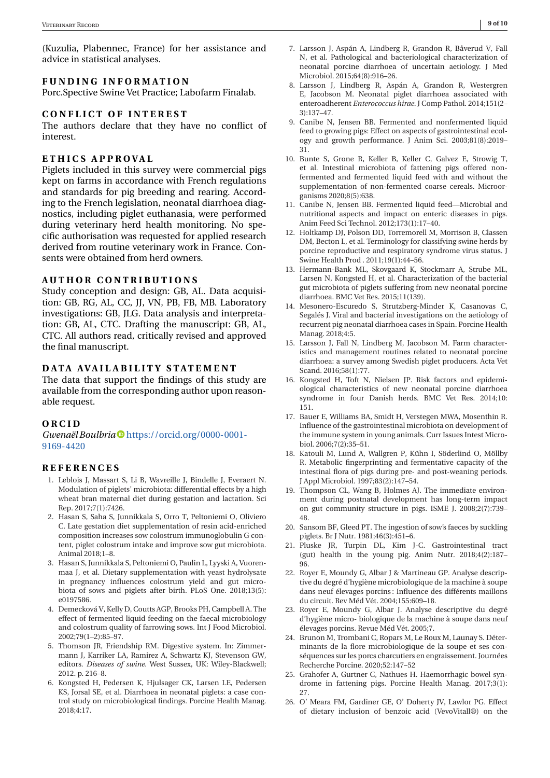<span id="page-8-0"></span>(Kuzulia, Plabennec, France) for her assistance and advice in statistical analyses.

## **FUNDING INFORMATION**

Porc.Spective Swine Vet Practice; Labofarm Finalab.

#### **CONFLICT OF INTEREST**

The authors declare that they have no conflict of interest.

#### **ETHICS APPROVAL**

Piglets included in this survey were commercial pigs kept on farms in accordance with French regulations and standards for pig breeding and rearing. According to the French legislation, neonatal diarrhoea diagnostics, including piglet euthanasia, were performed during veterinary herd health monitoring. No specific authorisation was requested for applied research derived from routine veterinary work in France. Consents were obtained from herd owners.

#### **AUTHOR CONTRIBUTIONS**

Study conception and design: GB, AL. Data acquisition: GB, RG, AL, CC, JJ, VN, PB, FB, MB. Laboratory investigations: GB, JLG. Data analysis and interpretation: GB, AL, CTC. Drafting the manuscript: GB, AL, CTC. All authors read, critically revised and approved the final manuscript.

#### **DATA AVAILABILITY STATEMENT**

The data that support the findings of this study are available from the corresponding author upon reasonable request.

#### **ORCID**

#### *Gwenaël Boulbria* [https://orcid.org/0000-0001-](https://orcid.org/0000-0001-9169-4420) [9169-4420](https://orcid.org/0000-0001-9169-4420)

#### **REFERENCES**

- 1. Leblois J, Massart S, Li B, Wavreille J, Bindelle J, Everaert N. Modulation of piglets' microbiota: differential effects by a high wheat bran maternal diet during gestation and lactation. Sci Rep. 2017;7(1):7426.
- 2. Hasan S, Saha S, Junnikkala S, Orro T, Peltoniemi O, Oliviero C. Late gestation diet supplementation of resin acid-enriched composition increases sow colostrum immunoglobulin G content, piglet colostrum intake and improve sow gut microbiota. Animal 2018;1–8.
- 3. Hasan S, Junnikkala S, Peltoniemi O, Paulin L, Lyyski A, Vuorenmaa J, et al. Dietary supplementation with yeast hydrolysate in pregnancy influences colostrum yield and gut microbiota of sows and piglets after birth. PLoS One. 2018;13(5): e0197586.
- 4. Demecková V, Kelly D, Coutts AGP, Brooks PH, Campbell A. The effect of fermented liquid feeding on the faecal microbiology and colostrum quality of farrowing sows. Int J Food Microbiol. 2002;79(1–2):85–97.
- 5. Thomson JR, Friendship RM. Digestive system. In: Zimmermann J, Karriker LA, Ramirez A, Schwartz KJ, Stevenson GW, editors. *Diseases of swine*. West Sussex, UK: Wiley-Blackwell; 2012. p. 216–8.
- 6. Kongsted H, Pedersen K, Hjulsager CK, Larsen LE, Pedersen KS, Jorsal SE, et al. Diarrhoea in neonatal piglets: a case control study on microbiological findings. Porcine Health Manag. 2018;4:17.
- 7. Larsson J, Aspán A, Lindberg R, Grandon R, Båverud V, Fall N, et al. Pathological and bacteriological characterization of neonatal porcine diarrhoea of uncertain aetiology. J Med Microbiol. 2015;64(8):916–26.
- 8. Larsson J, Lindberg R, Aspán A, Grandon R, Westergren E, Jacobson M. Neonatal piglet diarrhoea associated with enteroadherent *Enterococcus hirae*. J Comp Pathol. 2014;151(2– 3):137–47.
- 9. Canibe N, Jensen BB. Fermented and nonfermented liquid feed to growing pigs: Effect on aspects of gastrointestinal ecology and growth performance. J Anim Sci. 2003;81(8):2019– 31.
- 10. Bunte S, Grone R, Keller B, Keller C, Galvez E, Strowig T, et al. Intestinal microbiota of fattening pigs offered nonfermented and fermented liquid feed with and without the supplementation of non-fermented coarse cereals. Microorganisms 2020;8(5):638.
- 11. Canibe N, Jensen BB. Fermented liquid feed—Microbial and nutritional aspects and impact on enteric diseases in pigs. Anim Feed Sci Technol. 2012;173(1):17–40.
- 12. Holtkamp DJ, Polson DD, Torremorell M, Morrison B, Classen DM, Becton L, et al. Terminology for classifying swine herds by porcine reproductive and respiratory syndrome virus status. J Swine Health Prod . 2011;19(1):44–56.
- 13. Hermann-Bank ML, Skovgaard K, Stockmarr A, Strube ML, Larsen N, Kongsted H, et al. Characterization of the bacterial gut microbiota of piglets suffering from new neonatal porcine diarrhoea. BMC Vet Res. 2015;11(139).
- 14. Mesonero-Escuredo S, Strutzberg-Minder K, Casanovas C, Segalés J. Viral and bacterial investigations on the aetiology of recurrent pig neonatal diarrhoea cases in Spain. Porcine Health Manag. 2018;4:5.
- 15. Larsson J, Fall N, Lindberg M, Jacobson M. Farm characteristics and management routines related to neonatal porcine diarrhoea: a survey among Swedish piglet producers. Acta Vet Scand. 2016;58(1):77.
- 16. Kongsted H, Toft N, Nielsen JP. Risk factors and epidemiological characteristics of new neonatal porcine diarrhoea syndrome in four Danish herds. BMC Vet Res. 2014;10: 151.
- 17. Bauer E, Williams BA, Smidt H, Verstegen MWA, Mosenthin R. Influence of the gastrointestinal microbiota on development of the immune system in young animals. Curr Issues Intest Microbiol. 2006;7(2):35–51.
- 18. Katouli M, Lund A, Wallgren P, Kühn I, Söderlind O, Möllby R. Metabolic fingerprinting and fermentative capacity of the intestinal flora of pigs during pre- and post-weaning periods. J Appl Microbiol. 1997;83(2):147–54.
- 19. Thompson CL, Wang B, Holmes AJ. The immediate environment during postnatal development has long-term impact on gut community structure in pigs. ISME J. 2008;2(7):739– 48.
- 20. Sansom BF, Gleed PT. The ingestion of sow's faeces by suckling piglets. Br J Nutr. 1981;46(3):451–6.
- 21. Pluske JR, Turpin DL, Kim J-C. Gastrointestinal tract (gut) health in the young pig. Anim Nutr. 2018;4(2):187– 96.
- 22. Royer E, Moundy G, Albar J & Martineau GP. Analyse descriptive du degré d'hygiène microbiologique de la machine à soupe dans neuf élevages porcins : Influence des différents maillons du circuit. Rev Méd Vét. 2004;155:609–18.
- 23. Royer E, Moundy G, Albar J. Analyse descriptive du degré d'hygiène micro- biologique de la machine à soupe dans neuf élevages porcins. Revue Méd Vét. 2005;7.
- 24. Brunon M, Trombani C, Ropars M, Le Roux M, Launay S. Déterminants de la flore microbiologique de la soupe et ses conséquences sur les porcs charcutiers en engraissement. Journées Recherche Porcine. 2020;52:147–52
- 25. Grahofer A, Gurtner C, Nathues H. Haemorrhagic bowel syndrome in fattening pigs. Porcine Health Manag. 2017;3(1): 27.
- 26. O' Meara FM, Gardiner GE, O' Doherty JV, Lawlor PG. Effect of dietary inclusion of benzoic acid (VevoVitall®) on the